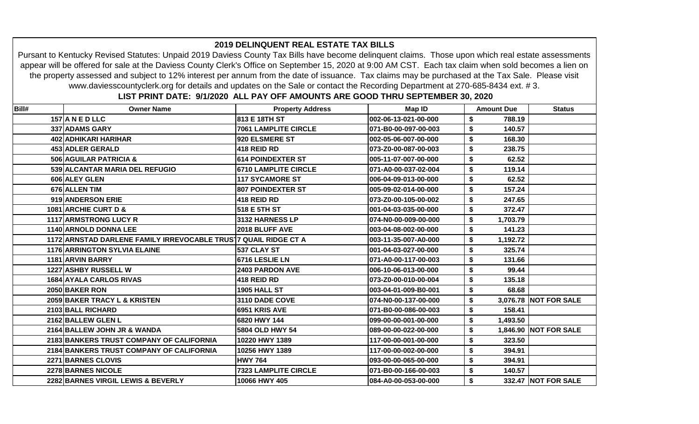|       | www.daviesscountyclerk.org for details and updates on the Sale or contact the Recording Department at 270-685-8434 ext. #3. | LIST PRINT DATE: 9/1/2020 ALL PAY OFF AMOUNTS ARE GOOD THRU SEPTEMBER 30, 2020 |                      |                   |                       |
|-------|-----------------------------------------------------------------------------------------------------------------------------|--------------------------------------------------------------------------------|----------------------|-------------------|-----------------------|
| Bill# | <b>Owner Name</b>                                                                                                           | <b>Property Address</b>                                                        | <b>Map ID</b>        | <b>Amount Due</b> | <b>Status</b>         |
|       | 157 A N E D LLC                                                                                                             | 813 E 18TH ST                                                                  | 002-06-13-021-00-000 | \$<br>788.19      |                       |
|       | 337 ADAMS GARY                                                                                                              | <b>7061 LAMPLITE CIRCLE</b>                                                    | 071-B0-00-097-00-003 | 140.57<br>\$      |                       |
|       | 402 ADHIKARI HARIHAR                                                                                                        | 920 ELSMERE ST                                                                 | 002-05-06-007-00-000 | \$<br>168.30      |                       |
|       | 453 ADLER GERALD                                                                                                            | 418 REID RD                                                                    | 073-Z0-00-087-00-003 | \$<br>238.75      |                       |
|       | 506 AGUILAR PATRICIA &                                                                                                      | <b>614 POINDEXTER ST</b>                                                       | 005-11-07-007-00-000 | \$<br>62.52       |                       |
|       | 539 ALCANTAR MARIA DEL REFUGIO                                                                                              | <b>6710 LAMPLITE CIRCLE</b>                                                    | 071-A0-00-037-02-004 | \$<br>119.14      |                       |
|       | 606 ALEY GLEN                                                                                                               | <b>117 SYCAMORE ST</b>                                                         | 006-04-09-013-00-000 | 62.52<br>\$       |                       |
|       | 676 ALLEN TIM                                                                                                               | <b>807 POINDEXTER ST</b>                                                       | 005-09-02-014-00-000 | 157.24<br>\$      |                       |
|       | 919 ANDERSON ERIE                                                                                                           | 418 REID RD                                                                    | 073-Z0-00-105-00-002 | 247.65<br>\$      |                       |
|       | 1081 ARCHIE CURT D &                                                                                                        | 518 E 5TH ST                                                                   | 001-04-03-035-00-000 | \$<br>372.47      |                       |
|       | 1117 ARMSTRONG LUCY R                                                                                                       | 3132 HARNESS LP                                                                | 074-N0-00-009-00-000 | \$<br>1,703.79    |                       |
|       | 1140 ARNOLD DONNA LEE                                                                                                       | 2018 BLUFF AVE                                                                 | 003-04-08-002-00-000 | \$<br>141.23      |                       |
|       | 1172 ARNSTAD DARLENE FAMILY IRREVOCABLE TRUST7 QUAIL RIDGE CT A                                                             |                                                                                | 003-11-35-007-A0-000 | \$<br>1,192.72    |                       |
|       | <b>1176 ARRINGTON SYLVIA ELAINE</b>                                                                                         | 537 CLAY ST                                                                    | 001-04-03-027-00-000 | \$<br>325.74      |                       |
|       | 1181 ARVIN BARRY                                                                                                            | 6716 LESLIE LN                                                                 | 071-A0-00-117-00-003 | \$<br>131.66      |                       |
|       | 1227 ASHBY RUSSELL W                                                                                                        | 2403 PARDON AVE                                                                | 006-10-06-013-00-000 | \$<br>99.44       |                       |
|       | <b>1684 AYALA CARLOS RIVAS</b>                                                                                              | 418 REID RD                                                                    | 073-Z0-00-010-00-004 | \$<br>135.18      |                       |
|       | 2050 BAKER RON                                                                                                              | <b>1905 HALL ST</b>                                                            | 003-04-01-009-B0-001 | 68.68<br>\$       |                       |
|       | 2059 BAKER TRACY L & KRISTEN                                                                                                | 3110 DADE COVE                                                                 | 074-N0-00-137-00-000 | \$                | 3,076.78 NOT FOR SALE |
|       | 2103 BALL RICHARD                                                                                                           | 6951 KRIS AVE                                                                  | 071-B0-00-086-00-003 | 158.41<br>\$      |                       |
|       | 2162 BALLEW GLEN L                                                                                                          | 6820 HWY 144                                                                   | 099-00-00-001-00-000 | \$<br>1,493.50    |                       |
|       | 2164 BALLEW JOHN JR & WANDA                                                                                                 | 5804 OLD HWY 54                                                                | 089-00-00-022-00-000 | \$                | 1,846.90 NOT FOR SALE |
|       | 2183 BANKERS TRUST COMPANY OF CALIFORNIA                                                                                    | 10220 HWY 1389                                                                 | 117-00-00-001-00-000 | \$<br>323.50      |                       |
|       | 2184 BANKERS TRUST COMPANY OF CALIFORNIA                                                                                    | 10256 HWY 1389                                                                 | 117-00-00-002-00-000 | \$<br>394.91      |                       |
|       | 2271 BARNES CLOVIS                                                                                                          | <b>HWY 764</b>                                                                 | 093-00-00-065-00-000 | \$<br>394.91      |                       |
|       | 2278 BARNES NICOLE                                                                                                          | <b>7323 LAMPLITE CIRCLE</b>                                                    | 071-B0-00-166-00-003 | \$<br>140.57      |                       |
|       | 2282 BARNES VIRGIL LEWIS & BEVERLY                                                                                          | 10066 HWY 405                                                                  | 084-A0-00-053-00-000 | \$                | 332.47 NOT FOR SALE   |

## **2019 DELINQUENT REAL ESTATE TAX BILLS**

Pursant to Kentucky Revised Statutes: Unpaid 2019 Daviess County Tax Bills have become delinquent claims. Those upon which real estate assessments appear will be offered for sale at the Daviess County Clerk's Office on September 15, 2020 at 9:00 AM CST. Each tax claim when sold becomes a lien on the property assessed and subject to 12% interest per annum from the date of issuance. Tax claims may be purchased at the Tax Sale. Please visit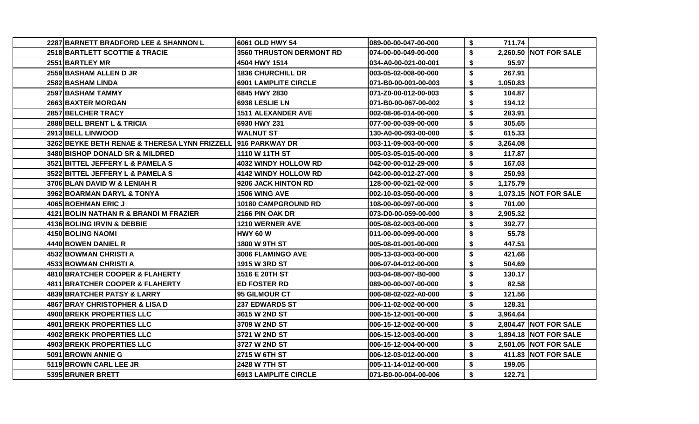| 2287 BARNETT BRADFORD LEE & SHANNON L                        | 6061 OLD HWY 54                 | 089-00-00-047-00-000 | \$ | 711.74   |                         |
|--------------------------------------------------------------|---------------------------------|----------------------|----|----------|-------------------------|
| 2518 BARTLETT SCOTTIE & TRACIE                               | <b>3560 THRUSTON DERMONT RD</b> | 074-00-00-049-00-000 | \$ |          | 2,260.50 NOT FOR SALE   |
| 2551 BARTLEY MR                                              | 4504 HWY 1514                   | 034-A0-00-021-00-001 | \$ | 95.97    |                         |
| 2559 BASHAM ALLEN D JR                                       | <b>1836 CHURCHILL DR</b>        | 003-05-02-008-00-000 | \$ | 267.91   |                         |
| 2582 BASHAM LINDA                                            | 6901 LAMPLITE CIRCLE            | 071-B0-00-001-00-003 | \$ | 1,050.83 |                         |
| 2597 BASHAM TAMMY                                            | 6845 HWY 2830                   | 071-Z0-00-012-00-003 | \$ | 104.87   |                         |
| <b>2663IBAXTER MORGAN</b>                                    | 6938 LESLIE LN                  | 071-B0-00-067-00-002 | \$ | 194.12   |                         |
| 2857 BELCHER TRACY                                           | <b>1511 ALEXANDER AVE</b>       | 002-08-06-014-00-000 | \$ | 283.91   |                         |
| 2888 BELL BRENT L & TRICIA                                   | 6930 HWY 231                    | 077-00-00-039-00-000 | \$ | 305.65   |                         |
| 2913 BELL LINWOOD                                            | <b>WALNUT ST</b>                | 130-A0-00-093-00-000 | \$ | 615.33   |                         |
| 3262 BEYKE BETH RENAE & THERESA LYNN FRIZZELL 916 PARKWAY DR |                                 | 003-11-09-003-00-000 | \$ | 3,264.08 |                         |
| 3480 BISHOP DONALD SR & MILDRED                              | 1110 W 11TH ST                  | 005-03-05-015-00-000 | \$ | 117.87   |                         |
| 3521 BITTEL JEFFERY L & PAMELA S                             | <b>4032 WINDY HOLLOW RD</b>     | 042-00-00-012-29-000 | \$ | 167.03   |                         |
| 3522 BITTEL JEFFERY L & PAMELA S                             | <b>4142 WINDY HOLLOW RD</b>     | 042-00-00-012-27-000 | \$ | 250.93   |                         |
| 3706 BLAN DAVID W & LENIAH R                                 | 9206 JACK HINTON RD             | 128-00-00-021-02-000 | \$ | 1,175.79 |                         |
| 3962 BOARMAN DARYL & TONYA                                   | 1506 WING AVE                   | 002-10-03-050-00-000 | S  |          | 1,073.15 NOT FOR SALE   |
| 4065 BOEHMAN ERIC J                                          | <b>10180 CAMPGROUND RD</b>      | 108-00-00-097-00-000 | \$ | 701.00   |                         |
| 4121 BOLIN NATHAN R & BRANDI M FRAZIER                       | 2166 PIN OAK DR                 | 073-D0-00-059-00-000 | \$ | 2,905.32 |                         |
| 4136 BOLING IRVIN & DEBBIE                                   | 1210 WERNER AVE                 | 005-08-02-003-00-000 | \$ | 392.77   |                         |
| 4150 BOLING NAOMI                                            | <b>HWY 60 W</b>                 | 011-00-00-099-00-000 | \$ | 55.78    |                         |
| 4440 BOWEN DANIEL R                                          | 1800 W 9TH ST                   | 005-08-01-001-00-000 | \$ | 447.51   |                         |
| 4532 BOWMAN CHRISTI A                                        | 3006 FLAMINGO AVE               | 005-13-03-003-00-000 | \$ | 421.66   |                         |
| 4533 BOWMAN CHRISTI A                                        | 1915 W 3RD ST                   | 006-07-04-012-00-000 | \$ | 504.69   |                         |
| 4810 BRATCHER COOPER & FLAHERTY                              | 1516 E 20TH ST                  | 003-04-08-007-B0-000 | \$ | 130.17   |                         |
| 4811 BRATCHER COOPER & FLAHERTY                              | <b>ED FOSTER RD</b>             | 089-00-00-007-00-000 | \$ | 82.58    |                         |
| 4839 BRATCHER PATSY & LARRY                                  | 95 GILMOUR CT                   | 006-08-02-022-A0-000 | \$ | 121.56   |                         |
| 4867 BRAY CHRISTOPHER & LISA D                               | <b>237 EDWARDS ST</b>           | 006-11-02-002-00-000 | \$ | 128.31   |                         |
| 4900 BREKK PROPERTIES LLC                                    | 3615 W 2ND ST                   | 006-15-12-001-00-000 | \$ | 3,964.64 |                         |
| 4901 BREKK PROPERTIES LLC                                    | 3709 W 2ND ST                   | 006-15-12-002-00-000 | \$ |          | 2,804.47   NOT FOR SALE |
| 4902 BREKK PROPERTIES LLC                                    | 3721 W 2ND ST                   | 006-15-12-003-00-000 | \$ |          | 1,894.18 NOT FOR SALE   |
| 4903 BREKK PROPERTIES LLC                                    | 3727 W 2ND ST                   | 006-15-12-004-00-000 | \$ |          | 2,501.05 NOT FOR SALE   |
| 5091 BROWN ANNIE G                                           | 2715 W 6TH ST                   | 006-12-03-012-00-000 | \$ |          | 411.83 NOT FOR SALE     |
| 5119 BROWN CARL LEE JR                                       | 2428 W 7TH ST                   | 005-11-14-012-00-000 | \$ | 199.05   |                         |
| 5395 BRUNER BRETT                                            | <b>6913 LAMPLITE CIRCLE</b>     | 071-B0-00-004-00-006 | \$ | 122.71   |                         |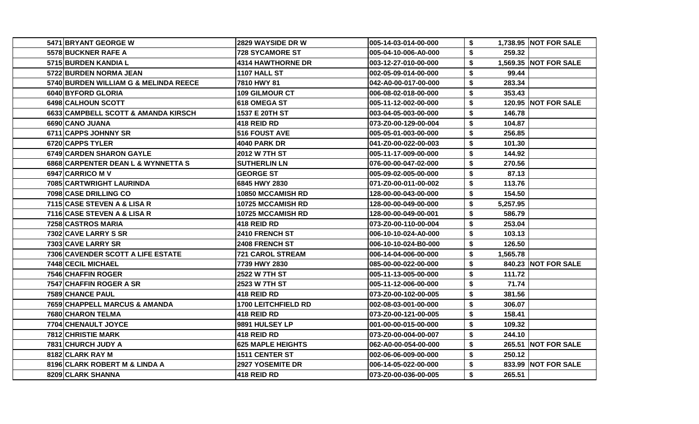| 5471 BRYANT GEORGE W                  | 2829 WAYSIDE DR W          | 005-14-03-014-00-000 | S. |          | 1,738.95 NOT FOR SALE |
|---------------------------------------|----------------------------|----------------------|----|----------|-----------------------|
| 5578 BUCKNER RAFE A                   | <b>728 SYCAMORE ST</b>     | 005-04-10-006-A0-000 | \$ | 259.32   |                       |
| 5715 BURDEN KANDIA L                  | <b>4314 HAWTHORNE DR</b>   | 003-12-27-010-00-000 | \$ |          | 1,569.35 NOT FOR SALE |
| 5722 BURDEN NORMA JEAN                | <b>1107 HALL ST</b>        | 002-05-09-014-00-000 | \$ | 99.44    |                       |
| 5740 BURDEN WILLIAM G & MELINDA REECE | 7810 HWY 81                | 042-A0-00-017-00-000 | \$ | 283.34   |                       |
| 6040 BYFORD GLORIA                    | <b>109 GILMOUR CT</b>      | 006-08-02-018-00-000 | \$ | 353.43   |                       |
| 6498 CALHOUN SCOTT                    | 618 OMEGA ST               | 005-11-12-002-00-000 | \$ |          | 120.95 NOT FOR SALE   |
| 6633 CAMPBELL SCOTT & AMANDA KIRSCH   | 1537 E 20TH ST             | 003-04-05-003-00-000 | \$ | 146.78   |                       |
| 6690 CANO JUANA                       | 418 REID RD                | 073-Z0-00-129-00-004 | \$ | 104.87   |                       |
| 6711 CAPPS JOHNNY SR                  | <b>516 FOUST AVE</b>       | 005-05-01-003-00-000 | \$ | 256.85   |                       |
| 6720 CAPPS TYLER                      | <b>4040 PARK DR</b>        | 041-Z0-00-022-00-003 | \$ | 101.30   |                       |
| 6749 CARDEN SHARON GAYLE              | 2012 W 7TH ST              | 005-11-17-009-00-000 | \$ | 144.92   |                       |
| 6868 CARPENTER DEAN L & WYNNETTA S    | <b>SUTHERLIN LN</b>        | 076-00-00-047-02-000 | \$ | 270.56   |                       |
| 6947 CARRICO M V                      | <b>GEORGE ST</b>           | 005-09-02-005-00-000 | \$ | 87.13    |                       |
| 7085 CARTWRIGHT LAURINDA              | 6845 HWY 2830              | 071-Z0-00-011-00-002 | \$ | 113.76   |                       |
| 7098 CASE DRILLING CO                 | 10850 MCCAMISH RD          | 128-00-00-043-00-000 | \$ | 154.50   |                       |
| 7115 CASE STEVEN A & LISA R           | 10725 MCCAMISH RD          | 128-00-00-049-00-000 | \$ | 5,257.95 |                       |
| 7116 CASE STEVEN A & LISA R           | 10725 MCCAMISH RD          | 128-00-00-049-00-001 | \$ | 586.79   |                       |
| 7258 CASTROS MARIA                    | 418 REID RD                | 073-Z0-00-110-00-004 | \$ | 253.04   |                       |
| 7302 CAVE LARRY S SR                  | 2410 FRENCH ST             | 006-10-10-024-A0-000 | \$ | 103.13   |                       |
| 7303 CAVE LARRY SR                    | 2408 FRENCH ST             | 006-10-10-024-B0-000 | \$ | 126.50   |                       |
| 7306 CAVENDER SCOTT A LIFE ESTATE     | <b>721 CAROL STREAM</b>    | 006-14-04-006-00-000 | \$ | 1,565.78 |                       |
| 7448 CECIL MICHAEL                    | 7739 HWY 2830              | 085-00-00-022-00-000 | \$ |          | 840.23 NOT FOR SALE   |
| <b>7546 CHAFFIN ROGER</b>             | 2522 W 7TH ST              | 005-11-13-005-00-000 | \$ | 111.72   |                       |
| 7547 CHAFFIN ROGER A SR               | 2523 W 7TH ST              | 005-11-12-006-00-000 | \$ | 71.74    |                       |
| 7589 CHANCE PAUL                      | 418 REID RD                | 073-Z0-00-102-00-005 | \$ | 381.56   |                       |
| 7659 CHAPPELL MARCUS & AMANDA         | <b>1700 LEITCHFIELD RD</b> | 002-08-03-001-00-000 | \$ | 306.07   |                       |
| 7680 CHARON TELMA                     | 418 REID RD                | 073-Z0-00-121-00-005 | \$ | 158.41   |                       |
| 7704 CHENAULT JOYCE                   | 9891 HULSEY LP             | 001-00-00-015-00-000 | \$ | 109.32   |                       |
| <b>7812 CHRISTIE MARK</b>             | 418 REID RD                | 073-Z0-00-004-00-007 | \$ | 244.10   |                       |
| 7831 CHURCH JUDY A                    | <b>625 MAPLE HEIGHTS</b>   | 062-A0-00-054-00-000 | \$ |          | 265.51 NOT FOR SALE   |
| 8182 CLARK RAY M                      | <b>1511 CENTER ST</b>      | 002-06-06-009-00-000 | \$ | 250.12   |                       |
| 8196 CLARK ROBERT M & LINDA A         | 2927 YOSEMITE DR           | 006-14-05-022-00-000 | \$ |          | 833.99 NOT FOR SALE   |
| 8209 CLARK SHANNA                     | 418 REID RD                | 073-Z0-00-036-00-005 | \$ | 265.51   |                       |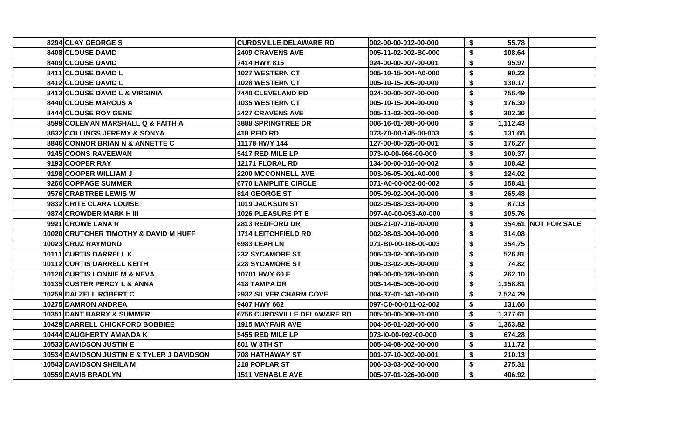| 8294 CLAY GEORGE S                         | <b>CURDSVILLE DELAWARE RD</b>      | 002-00-00-012-00-000 | \$ | 55.78    |                     |
|--------------------------------------------|------------------------------------|----------------------|----|----------|---------------------|
| 8408 CLOUSE DAVID                          | <b>2409 CRAVENS AVE</b>            | 005-11-02-002-B0-000 | \$ | 108.64   |                     |
| 8409 CLOUSE DAVID                          | 7414 HWY 815                       | 024-00-00-007-00-001 | \$ | 95.97    |                     |
| <b>8411 ICLOUSE DAVID L</b>                | 1027 WESTERN CT                    | 005-10-15-004-A0-000 | \$ | 90.22    |                     |
| 8412 CLOUSE DAVID L                        | 1028 WESTERN CT                    | 005-10-15-005-00-000 | \$ | 130.17   |                     |
| 8413 CLOUSE DAVID L & VIRGINIA             | 7440 CLEVELAND RD                  | 024-00-00-007-00-000 | \$ | 756.49   |                     |
| <b>8440 CLOUSE MARCUS A</b>                | <b>1035 WESTERN CT</b>             | 005-10-15-004-00-000 | S  | 176.30   |                     |
| 8444 CLOUSE ROY GENE                       | <b>2427 CRAVENS AVE</b>            | 005-11-02-003-00-000 | \$ | 302.36   |                     |
| 8599 COLEMAN MARSHALL Q & FAITH A          | <b>3888 SPRINGTREE DR</b>          | 006-16-01-080-00-000 | S  | 1,112.43 |                     |
| 8632 COLLINGS JEREMY & SONYA               | 418 REID RD                        | 073-Z0-00-145-00-003 | \$ | 131.66   |                     |
| 8846 CONNOR BRIAN N & ANNETTE C            | 11178 HWY 144                      | 127-00-00-026-00-001 | S  | 176.27   |                     |
| 9145 COONS RAVEEWAN                        | <b>5417 RED MILE LP</b>            | 073-10-00-066-00-000 | \$ | 100.37   |                     |
| 9193 COOPER RAY                            | 12171 FLORAL RD                    | 134-00-00-016-00-002 | \$ | 108.42   |                     |
| 9198 COOPER WILLIAM J                      | <b>2200 MCCONNELL AVE</b>          | 003-06-05-001-A0-000 | \$ | 124.02   |                     |
| 9266 COPPAGE SUMMER                        | <b>6770 LAMPLITE CIRCLE</b>        | 071-A0-00-052-00-002 | \$ | 158.41   |                     |
| 9576 CRABTREE LEWIS W                      | 814 GEORGE ST                      | 005-09-02-004-00-000 | S  | 265.48   |                     |
| 9832 CRITE CLARA LOUISE                    | 1019 JACKSON ST                    | 002-05-08-033-00-000 | \$ | 87.13    |                     |
| 9874 CROWDER MARK H III                    | 1026 PLEASURE PT E                 | 097-A0-00-053-A0-000 | \$ | 105.76   |                     |
| 9921 CROWE LANA R                          | 2813 REDFORD DR                    | 003-21-07-016-00-000 | \$ |          | 354.61 NOT FOR SALE |
| 10020 CRUTCHER TIMOTHY & DAVID M HUFF      | <b>1714 LEITCHFIELD RD</b>         | 002-08-03-004-00-000 | \$ | 314.08   |                     |
| 10023 CRUZ RAYMOND                         | 6983 LEAH LN                       | 071-B0-00-186-00-003 | \$ | 354.75   |                     |
| 10111 CURTIS DARRELL K                     | <b>232 SYCAMORE ST</b>             | 006-03-02-006-00-000 | \$ | 526.81   |                     |
| 10112 CURTIS DARRELL KEITH                 | <b>228 SYCAMORE ST</b>             | 006-03-02-005-00-000 | \$ | 74.82    |                     |
| 10120 CURTIS LONNIE M & NEVA               | 10701 HWY 60 E                     | 096-00-00-028-00-000 | \$ | 262.10   |                     |
| 10135 CUSTER PERCY L & ANNA                | <b>418 TAMPA DR</b>                | 003-14-05-005-00-000 | \$ | 1,158.81 |                     |
| <b>10259 DALZELL ROBERT C</b>              | <b>2932 SILVER CHARM COVE</b>      | 004-37-01-041-00-000 | \$ | 2,524.29 |                     |
| <b>10275 DAMRON ANDREA</b>                 | 9407 HWY 662                       | 097-C0-00-011-02-002 | \$ | 131.66   |                     |
| 10351 DANT BARRY & SUMMER                  | <b>6756 CURDSVILLE DELAWARE RD</b> | 005-00-00-009-01-000 | \$ | 1,377.61 |                     |
| <b>10429 DARRELL CHICKFORD BOBBIEE</b>     | <b>1915 MAYFAIR AVE</b>            | 004-05-01-020-00-000 | \$ | 1,363.82 |                     |
| 10444 DAUGHERTY AMANDA K                   | 5455 RED MILE LP                   | 073-10-00-092-00-000 | \$ | 674.28   |                     |
| 10533 DAVIDSON JUSTIN E                    | 801 W 8TH ST                       | 005-04-08-002-00-000 | \$ | 111.72   |                     |
| 10534 DAVIDSON JUSTIN E & TYLER J DAVIDSON | <b>708 HATHAWAY ST</b>             | 001-07-10-002-00-001 | \$ | 210.13   |                     |
| <b>10543 DAVIDSON SHEILA M</b>             | 218 POPLAR ST                      | 006-03-03-002-00-000 | \$ | 275.31   |                     |
| 10559 DAVIS BRADLYN                        | <b>1511 VENABLE AVE</b>            | 005-07-01-026-00-000 | \$ | 406.92   |                     |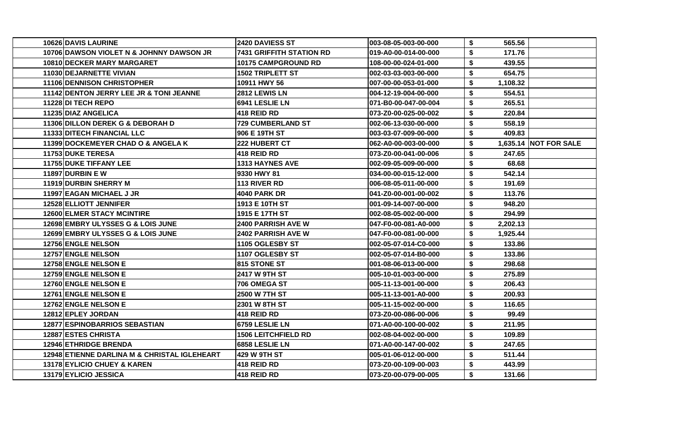| 10626 DAVIS LAURINE                          | 2420 DAVIESS ST            | 003-08-05-003-00-000 | \$<br>565.56   |                                |
|----------------------------------------------|----------------------------|----------------------|----------------|--------------------------------|
| 10706 DAWSON VIOLET N & JOHNNY DAWSON JR     | 7431 GRIFFITH STATION RD   | 019-A0-00-014-00-000 | \$<br>171.76   |                                |
| 10810 DECKER MARY MARGARET                   | 10175 CAMPGROUND RD        | 108-00-00-024-01-000 | \$<br>439.55   |                                |
| 11030 DEJARNETTE VIVIAN                      | <b>1502 TRIPLETT ST</b>    | 002-03-03-003-00-000 | 654.75<br>\$   |                                |
| <b>11106 DENNISON CHRISTOPHER</b>            | 10911 HWY 56               | 007-00-00-053-01-000 | \$<br>1,108.32 |                                |
| 11142 DENTON JERRY LEE JR & TONI JEANNE      | 2812 LEWIS LN              | 004-12-19-004-00-000 | 554.51<br>\$   |                                |
| 11228 DI TECH REPO                           | 6941 LESLIE LN             | 071-B0-00-047-00-004 | \$<br>265.51   |                                |
| 11235 DIAZ ANGELICA                          | 418 REID RD                | 073-Z0-00-025-00-002 | \$<br>220.84   |                                |
| 11306 DILLON DEREK G & DEBORAH D             | <b>729 CUMBERLAND ST</b>   | 002-06-13-030-00-000 | \$<br>558.19   |                                |
| <b>11333 DITECH FINANCIAL LLC</b>            | 906 E 19TH ST              | 003-03-07-009-00-000 | \$<br>409.83   |                                |
| 11399 DOCKEMEYER CHAD O & ANGELA K           | <b>222 HUBERT CT</b>       | 062-A0-00-003-00-000 | S              | <b>1,635.14   NOT FOR SALE</b> |
| 11753 DUKE TERESA                            | <b>418 REID RD</b>         | 073-Z0-00-041-00-006 | \$<br>247.65   |                                |
| <b>11755 DUKE TIFFANY LEE</b>                | <b>1313 HAYNES AVE</b>     | 002-09-05-009-00-000 | \$<br>68.68    |                                |
| <b>11897 DURBIN E W</b>                      | 9330 HWY 81                | 034-00-00-015-12-000 | S<br>542.14    |                                |
| 11919 DURBIN SHERRY M                        | 113 RIVER RD               | 006-08-05-011-00-000 | \$<br>191.69   |                                |
| 11997 EAGAN MICHAEL J JR                     | 4040 PARK DR               | 041-Z0-00-001-00-002 | \$<br>113.76   |                                |
| 12528 ELLIOTT JENNIFER                       | 1913 E 10TH ST             | 001-09-14-007-00-000 | \$<br>948.20   |                                |
| <b>12600 ELMER STACY MCINTIRE</b>            | 1915 E 17TH ST             | 002-08-05-002-00-000 | \$<br>294.99   |                                |
| 12698 EMBRY ULYSSES G & LOIS JUNE            | 2400 PARRISH AVE W         | 047-F0-00-081-A0-000 | \$<br>2,202.13 |                                |
| 12699 EMBRY ULYSSES G & LOIS JUNE            | 2402 PARRISH AVE W         | 047-F0-00-081-00-000 | \$<br>1,925.44 |                                |
| 12756 ENGLE NELSON                           | <b>1105 OGLESBY ST</b>     | 002-05-07-014-C0-000 | \$<br>133.86   |                                |
| 12757 ENGLE NELSON                           | 1107 OGLESBY ST            | 002-05-07-014-B0-000 | \$<br>133.86   |                                |
| 12758 ENGLE NELSON E                         | 815 STONE ST               | 001-08-06-013-00-000 | \$<br>298.68   |                                |
| 12759 ENGLE NELSON E                         | 2417 W 9TH ST              | 005-10-01-003-00-000 | 275.89<br>S    |                                |
| 12760 ENGLE NELSON E                         | 706 OMEGA ST               | 005-11-13-001-00-000 | \$<br>206.43   |                                |
| <b>12761 ENGLE NELSON E</b>                  | 2500 W 7TH ST              | 005-11-13-001-A0-000 | \$<br>200.93   |                                |
| 12762 ENGLE NELSON E                         | 2301 W 8TH ST              | 005-11-15-002-00-000 | \$<br>116.65   |                                |
| 12812 EPLEY JORDAN                           | 418 REID RD                | 073-Z0-00-086-00-006 | \$<br>99.49    |                                |
| <b>12877 ESPINOBARRIOS SEBASTIAN</b>         | 6759 LESLIE LN             | 071-A0-00-100-00-002 | \$<br>211.95   |                                |
| 12887 ESTES CHRISTA                          | <b>1506 LEITCHFIELD RD</b> | 002-08-04-002-00-000 | \$<br>109.89   |                                |
| <b>12946 ETHRIDGE BRENDA</b>                 | 6858 LESLIE LN             | 071-A0-00-147-00-002 | 247.65<br>\$   |                                |
| 12948 ETIENNE DARLINA M & CHRISTAL IGLEHEART | 429 W 9TH ST               | 005-01-06-012-00-000 | \$<br>511.44   |                                |
| 13178 EYLICIO CHUEY & KAREN                  | 418 REID RD                | 073-Z0-00-109-00-003 | \$<br>443.99   |                                |
| 13179 EYLICIO JESSICA                        | 418 REID RD                | 073-Z0-00-079-00-005 | \$<br>131.66   |                                |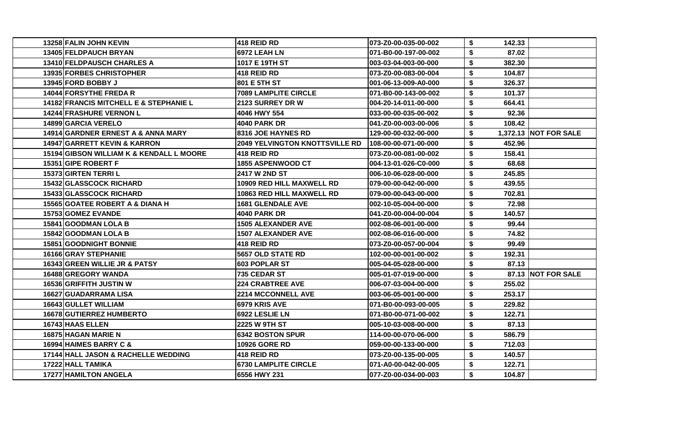| 13258 FALIN JOHN KEVIN                     | <b>418 REID RD</b>                    | 073-Z0-00-035-00-002 | \$ | 142.33 |                       |
|--------------------------------------------|---------------------------------------|----------------------|----|--------|-----------------------|
| <b>13405 FELDPAUCH BRYAN</b>               | 6972 LEAH LN                          | 071-B0-00-197-00-002 | \$ | 87.02  |                       |
| 13410 FELDPAUSCH CHARLES A                 | 1017 E 19TH ST                        | 003-03-04-003-00-000 | \$ | 382.30 |                       |
| 13935 FORBES CHRISTOPHER                   | <b>418 REID RD</b>                    | 073-Z0-00-083-00-004 | \$ | 104.87 |                       |
| 13945 FORD BOBBY J                         | 801 E 5TH ST                          | 001-06-13-009-A0-000 | \$ | 326.37 |                       |
| <b>14044 FORSYTHE FREDA R</b>              | <b>7089 LAMPLITE CIRCLE</b>           | 071-B0-00-143-00-002 | S  | 101.37 |                       |
| 14182 FRANCIS MITCHELL E & STEPHANIE L     | 2123 SURREY DR W                      | 004-20-14-011-00-000 | \$ | 664.41 |                       |
| 14244 FRASHURE VERNON L                    | 4046 HWY 554                          | 033-00-00-035-00-002 | \$ | 92.36  |                       |
| 14899 GARCIA VERELO                        | <b>4040 PARK DR</b>                   | 041-Z0-00-003-00-006 | \$ | 108.42 |                       |
| 14914 GARDNER ERNEST A & ANNA MARY         | 8316 JOE HAYNES RD                    | 129-00-00-032-00-000 | S  |        | 1,372.13 NOT FOR SALE |
| <b>14947 GARRETT KEVIN &amp; KARRON</b>    | <b>2049 YELVINGTON KNOTTSVILLE RD</b> | 108-00-00-071-00-000 | \$ | 452.96 |                       |
| 15194 GIBSON WILLIAM K & KENDALL L MOORE   | <b>418 REID RD</b>                    | 073-Z0-00-081-00-002 | \$ | 158.41 |                       |
| 15351 GIPE ROBERT F                        | 1855 ASPENWOOD CT                     | 004-13-01-026-C0-000 | \$ | 68.68  |                       |
| 15373 GIRTEN TERRIL                        | <b>2417 W 2ND ST</b>                  | 006-10-06-028-00-000 | S  | 245.85 |                       |
| <b>15432 GLASSCOCK RICHARD</b>             | 10909 RED HILL MAXWELL RD             | 079-00-00-042-00-000 | \$ | 439.55 |                       |
| <b>15433 GLASSCOCK RICHARD</b>             | 10863 RED HILL MAXWELL RD             | 079-00-00-043-00-000 | S  | 702.81 |                       |
| <b>15565 GOATEE ROBERT A &amp; DIANA H</b> | <b>1681 GLENDALE AVE</b>              | 002-10-05-004-00-000 | \$ | 72.98  |                       |
| 15753 GOMEZ EVANDE                         | <b>4040 PARK DR</b>                   | 041-Z0-00-004-00-004 | \$ | 140.57 |                       |
| 15841 GOODMAN LOLA B                       | <b>1505 ALEXANDER AVE</b>             | 002-08-06-001-00-000 | \$ | 99.44  |                       |
| <b>15842 GOODMAN LOLA B</b>                | <b>1507 ALEXANDER AVE</b>             | 002-08-06-016-00-000 | \$ | 74.82  |                       |
| <b>15851 GOODNIGHT BONNIE</b>              | 418 REID RD                           | 073-Z0-00-057-00-004 | \$ | 99.49  |                       |
| <b>16166 GRAY STEPHANIE</b>                | <b>5657 OLD STATE RD</b>              | 102-00-00-001-00-002 | \$ | 192.31 |                       |
| 16343 GREEN WILLIE JR & PATSY              | <b>603 POPLAR ST</b>                  | 005-04-05-028-00-000 | \$ | 87.13  |                       |
| 16488 GREGORY WANDA                        | 735 CEDAR ST                          | 005-01-07-019-00-000 | \$ |        | 87.13 NOT FOR SALE    |
| 16536 GRIFFITH JUSTIN W                    | <b>224 CRABTREE AVE</b>               | 006-07-03-004-00-000 | \$ | 255.02 |                       |
| 16627 GUADARRAMA LISA                      | <b>2214 MCCONNELL AVE</b>             | 003-06-05-001-00-000 | \$ | 253.17 |                       |
| 16643 GULLET WILLIAM                       | 6979 KRIS AVE                         | 071-B0-00-093-00-005 | \$ | 229.82 |                       |
| 16678 GUTIERREZ HUMBERTO                   | 6922 LESLIE LN                        | 071-B0-00-071-00-002 | \$ | 122.71 |                       |
| 16743 HAAS ELLEN                           | 2225 W 9TH ST                         | 005-10-03-008-00-000 | \$ | 87.13  |                       |
| 16875 HAGAN MARIE N                        | <b>6342 BOSTON SPUR</b>               | 114-00-00-070-06-000 | \$ | 586.79 |                       |
| 16994 HAIMES BARRY C &                     | <b>10926 GORE RD</b>                  | 059-00-00-133-00-000 | \$ | 712.03 |                       |
| 17144 HALL JASON & RACHELLE WEDDING        | <b>418 REID RD</b>                    | 073-Z0-00-135-00-005 | \$ | 140.57 |                       |
| 17222 HALL TAMIKA                          | <b>6730 LAMPLITE CIRCLE</b>           | 071-A0-00-042-00-005 | \$ | 122.71 |                       |
| 17277 HAMILTON ANGELA                      | 6556 HWY 231                          | 077-Z0-00-034-00-003 | \$ | 104.87 |                       |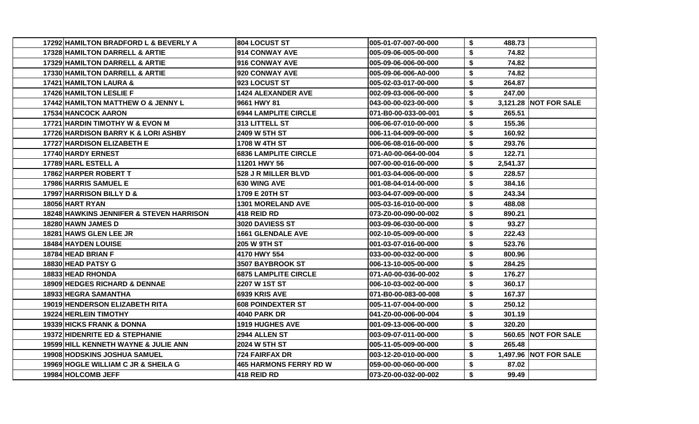| 17292 HAMILTON BRADFORD L & BEVERLY A               | <b>804 LOCUST ST</b>         | 005-01-07-007-00-000  | \$<br>488.73   |                       |
|-----------------------------------------------------|------------------------------|-----------------------|----------------|-----------------------|
| <b>17328 HAMILTON DARRELL &amp; ARTIE</b>           | <b>1914 CONWAY AVE</b>       | 005-09-06-005-00-000  | \$<br>74.82    |                       |
| 17329 HAMILTON DARRELL & ARTIE                      | <b>916 CONWAY AVE</b>        | 005-09-06-006-00-000  | \$<br>74.82    |                       |
| 17330 HAMILTON DARRELL & ARTIE                      | 920 CONWAY AVE               | l005-09-06-006-A0-000 | \$<br>74.82    |                       |
| <b>17421 HAMILTON LAURA &amp;</b>                   | 1923 LOCUST ST               | 005-02-03-017-00-000  | \$<br>264.87   |                       |
| <b>17426 HAMILTON LESLIE F</b>                      | <b>1424 ALEXANDER AVE</b>    | 002-09-03-006-00-000  | \$<br>247.00   |                       |
| <b>17442 HAMILTON MATTHEW O &amp; JENNY L</b>       | l9661 HWY 81                 | 043-00-00-023-00-000  | \$             | 3,121.28 NOT FOR SALE |
| <b>17534 HANCOCK AARON</b>                          | <b>6944 LAMPLITE CIRCLE</b>  | l071-B0-00-033-00-001 | \$<br>265.51   |                       |
| 17721 HARDIN TIMOTHY W & EVON M                     | I313 LITTELL ST              | 1006-06-07-010-00-000 | \$<br>155.36   |                       |
| 17726 HARDISON BARRY K & LORI ASHBY                 | 2409 W 5TH ST                | l006-11-04-009-00-000 | \$<br>160.92   |                       |
| <b>17727 HARDISON ELIZABETH E</b>                   | 1708 W 4TH ST                | 1006-06-08-016-00-000 | \$<br>293.76   |                       |
| 17740 HARDY ERNEST                                  | <b>16836 LAMPLITE CIRCLE</b> | l071-A0-00-064-00-004 | \$<br>122.71   |                       |
| 17789 HARL ESTELL A                                 | 11201 HWY 56                 | 007-00-00-016-00-000  | \$<br>2,541.37 |                       |
| 17862 HARPER ROBERT T                               | 528 J R MILLER BLVD          | 1001-03-04-006-00-000 | \$<br>228.57   |                       |
| 17986 HARRIS SAMUEL E                               | <b>630 WING AVE</b>          | 001-08-04-014-00-000  | \$<br>384.16   |                       |
| 17997 HARRISON BILLY D &                            | 1709 E 20TH ST               | 1003-04-07-009-00-000 | \$<br>243.34   |                       |
| 18056 HART RYAN                                     | 1301 MORELAND AVE            | 1005-03-16-010-00-000 | \$<br>488.08   |                       |
| <b>18248 HAWKINS JENNIFER &amp; STEVEN HARRISON</b> | <b>418 REID RD</b>           | l073-Z0-00-090-00-002 | \$<br>890.21   |                       |
| <b>18280 HAWN JAMES D</b>                           | 3020 DAVIESS ST              | 1003-09-06-030-00-000 | \$<br>93.27    |                       |
| 18281 HAWS GLEN LEE JR                              | <b>1661 GLENDALE AVE</b>     | 002-10-05-009-00-000  | \$<br>222.43   |                       |
| <b>18484 HAYDEN LOUISE</b>                          | <b>205 W 9TH ST</b>          | 1001-03-07-016-00-000 | \$<br>523.76   |                       |
| 18784 HEAD BRIAN F                                  | l4170 HWY 554                | 1033-00-00-032-00-000 | \$<br>800.96   |                       |
| 18830 HEAD PATSY G                                  | 3507 BAYBROOK ST             | 006-13-10-005-00-000  | \$<br>284.25   |                       |
| <b>18833 HEAD RHONDA</b>                            | <b>6875 LAMPLITE CIRCLE</b>  | l071-A0-00-036-00-002 | \$<br>176.27   |                       |
| <b>18909 HEDGES RICHARD &amp; DENNAE</b>            | <b>2207 W 1ST ST</b>         | 1006-10-03-002-00-000 | \$<br>360.17   |                       |
| <b>18933 HEGRA SAMANTHA</b>                         | <b>6939 KRIS AVE</b>         | l071-B0-00-083-00-008 | \$<br>167.37   |                       |
| 19019 HENDERSON ELIZABETH RITA                      | <b>608 POINDEXTER ST</b>     | l005-11-07-004-00-000 | \$<br>250.12   |                       |
| <b>19224 HERLEIN TIMOTHY</b>                        | 4040 PARK DR                 | 041-Z0-00-006-00-004  | \$<br>301.19   |                       |
| <b>19339 HICKS FRANK &amp; DONNA</b>                | <b>1919 HUGHES AVE</b>       | 1001-09-13-006-00-000 | \$<br>320.20   |                       |
| 19372 HIDENRITE ED & STEPHANIE                      | 2944 ALLEN ST                | 1003-09-07-011-00-000 | \$             | 560.65 NOT FOR SALE   |
| 19599IHILL KENNETH WAYNE & JULIE ANN                | 12024 W 5TH ST               | l005-11-05-009-00-000 | \$<br>265.48   |                       |
| <b>19908 HODSKINS JOSHUA SAMUEL</b>                 | l724 FAIRFAX DR              | 1003-12-20-010-00-000 | \$             | 1,497.96 NOT FOR SALE |
| 19969 HOGLE WILLIAM C JR & SHEILA G                 | 465 HARMONS FERRY RD W       | 059-00-00-060-00-000  | \$<br>87.02    |                       |
| 19984 HOLCOMB JEFF                                  | 1418 REID RD                 | l073-Z0-00-032-00-002 | \$<br>99.49    |                       |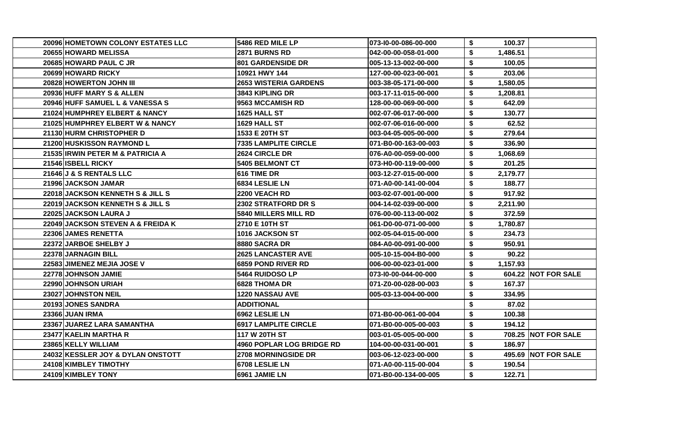| 20096 HOMETOWN COLONY ESTATES LLC | 5486 RED MILE LP             | 073-10-00-086-00-000 | \$<br>100.37   |                            |
|-----------------------------------|------------------------------|----------------------|----------------|----------------------------|
| <b>206551HOWARD MELISSA</b>       | <b>2871 BURNS RD</b>         | 042-00-00-058-01-000 | \$<br>1,486.51 |                            |
| 20685 HOWARD PAUL C JR            | <b>801 GARDENSIDE DR</b>     | 005-13-13-002-00-000 | \$<br>100.05   |                            |
| 20699 HOWARD RICKY                | 10921 HWY 144                | 127-00-00-023-00-001 | \$<br>203.06   |                            |
| 20828 HOWERTON JOHN III           | <b>2653 WISTERIA GARDENS</b> | 003-38-05-171-00-000 | \$<br>1,580.05 |                            |
| 20936 HUFF MARY S & ALLEN         | 3843 KIPLING DR              | 003-17-11-015-00-000 | \$<br>1,208.81 |                            |
| 20946 HUFF SAMUEL L & VANESSA S   | 9563 MCCAMISH RD             | 128-00-00-069-00-000 | \$<br>642.09   |                            |
| 21024 HUMPHREY ELBERT & NANCY     | 1625 HALL ST                 | 002-07-06-017-00-000 | \$<br>130.77   |                            |
| 21025 HUMPHREY ELBERT W & NANCY   | 1629 HALL ST                 | 002-07-06-016-00-000 | \$<br>62.52    |                            |
| 21130 HURM CHRISTOPHER D          | 1533 E 20TH ST               | 003-04-05-005-00-000 | \$<br>279.64   |                            |
| 21200 HUSKISSON RAYMOND L         | <b>7335 LAMPLITE CIRCLE</b>  | 071-B0-00-163-00-003 | \$<br>336.90   |                            |
| 21535 IRWIN PETER M & PATRICIA A  | <b>2624 CIRCLE DR</b>        | 076-A0-00-059-00-000 | \$<br>1,068.69 |                            |
| 21546 ISBELL RICKY                | 5405 BELMONT CT              | 073-H0-00-119-00-000 | \$<br>201.25   |                            |
| 21646 J & S RENTALS LLC           | 616 TIME DR                  | 003-12-27-015-00-000 | \$<br>2,179.77 |                            |
| 21996 JACKSON JAMAR               | 6834 LESLIE LN               | 071-A0-00-141-00-004 | \$<br>188.77   |                            |
| 22018 JACKSON KENNETH S & JILL S  | 2200 VEACH RD                | 003-02-07-001-00-000 | \$<br>917.92   |                            |
| 22019 JACKSON KENNETH S & JILL S  | <b>2302 STRATFORD DR S</b>   | 004-14-02-039-00-000 | \$<br>2,211.90 |                            |
| 22025 JACKSON LAURA J             | 5840 MILLERS MILL RD         | 076-00-00-113-00-002 | \$<br>372.59   |                            |
| 22049 JACKSON STEVEN A & FREIDA K | 2710 E 10TH ST               | 061-D0-00-071-00-000 | \$<br>1,780.87 |                            |
| 22306 JAMES RENETTA               | 1016 JACKSON ST              | 002-05-04-015-00-000 | \$<br>234.73   |                            |
| 22372 JARBOE SHELBY J             | 8880 SACRA DR                | 084-A0-00-091-00-000 | \$<br>950.91   |                            |
| 22378 JARNAGIN BILL               | <b>2625 LANCASTER AVE</b>    | 005-10-15-004-B0-000 | \$<br>90.22    |                            |
| 22583 JIMENEZ MEJIA JOSE V        | <b>6859 POND RIVER RD</b>    | 006-00-00-023-01-000 | \$<br>1,157.93 |                            |
| 22778 JOHNSON JAMIE               | 5464 RUIDOSO LP              | 073-10-00-044-00-000 | \$             | 604.22 NOT FOR SALE        |
| <b>22990 JOHNSON URIAH</b>        | <b>6828 THOMA DR</b>         | 071-Z0-00-028-00-003 | \$<br>167.37   |                            |
| 23027 JOHNSTON NEIL               | <b>1220 NASSAU AVE</b>       | 005-03-13-004-00-000 | \$<br>334.95   |                            |
| 20193 JONES SANDRA                | <b>ADDITIONAL</b>            |                      | \$<br>87.02    |                            |
| 23366 JUAN IRMA                   | 6962 LESLIE LN               | 071-B0-00-061-00-004 | \$<br>100.38   |                            |
| 23367 JUAREZ LARA SAMANTHA        | <b>6917 LAMPLITE CIRCLE</b>  | 071-B0-00-005-00-003 | \$<br>194.12   |                            |
| 23477 KAELIN MARTHA R             | 117 W 20TH ST                | 003-01-05-005-00-000 | \$             | <b>708.25 NOT FOR SALE</b> |
| 23865 KELLY WILLIAM               | 4960 POPLAR LOG BRIDGE RD    | 104-00-00-031-00-001 | \$<br>186.97   |                            |
| 24032 KESSLER JOY & DYLAN ONSTOTT | 2708 MORNINGSIDE DR          | 003-06-12-023-00-000 | \$             | 495.69 NOT FOR SALE        |
| 24108 KIMBLEY TIMOTHY             | 6708 LESLIE LN               | 071-A0-00-115-00-004 | \$<br>190.54   |                            |
| 24109 KIMBLEY TONY                | 6961 JAMIE LN                | 071-B0-00-134-00-005 | \$<br>122.71   |                            |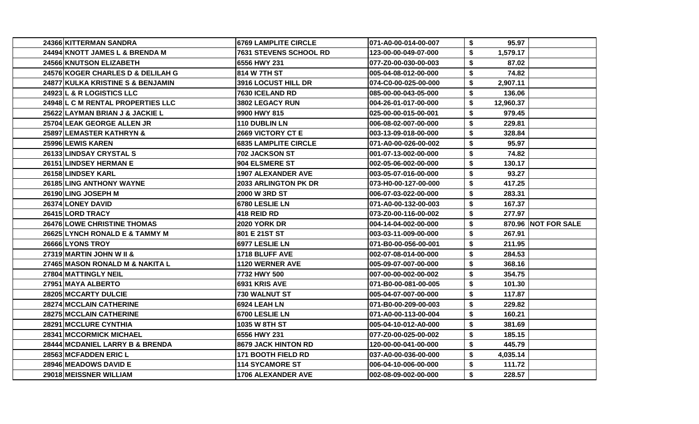| 24366 KITTERMAN SANDRA             | <b>6769 LAMPLITE CIRCLE</b> | 071-A0-00-014-00-007 | \$ | 95.97     |                     |
|------------------------------------|-----------------------------|----------------------|----|-----------|---------------------|
| 24494 KNOTT JAMES L & BRENDA M     | 7631 STEVENS SCHOOL RD      | 123-00-00-049-07-000 | \$ | 1,579.17  |                     |
| 24566 KNUTSON ELIZABETH            | 6556 HWY 231                | 077-Z0-00-030-00-003 | S  | 87.02     |                     |
| 24576 KOGER CHARLES D & DELILAH G  | 814 W 7TH ST                | 005-04-08-012-00-000 | \$ | 74.82     |                     |
| 24877 KULKA KRISTINE S & BENJAMIN  | <b>3916 LOCUST HILL DR</b>  | 074-C0-00-025-00-000 | \$ | 2,907.11  |                     |
| 24923 L & R LOGISTICS LLC          | 7630 ICELAND RD             | 085-00-00-043-05-000 | \$ | 136.06    |                     |
| 24948 L C M RENTAL PROPERTIES LLC  | 3802 LEGACY RUN             | 004-26-01-017-00-000 | \$ | 12,960.37 |                     |
| 25622 LAYMAN BRIAN J & JACKIE L    | 9900 HWY 815                | 025-00-00-015-00-001 | \$ | 979.45    |                     |
| 25704 LEAK GEORGE ALLEN JR         | <b>110 DUBLIN LN</b>        | 006-08-02-007-00-000 | \$ | 229.81    |                     |
| 25897 LEMASTER KATHRYN &           | <b>2669 VICTORY CT E</b>    | 003-13-09-018-00-000 | \$ | 328.84    |                     |
| 25996 LEWIS KAREN                  | <b>6835 LAMPLITE CIRCLE</b> | 071-A0-00-026-00-002 | \$ | 95.97     |                     |
| 26133 LINDSAY CRYSTAL S            | 702 JACKSON ST              | 001-07-13-002-00-000 | \$ | 74.82     |                     |
| 26151 LINDSEY HERMAN E             | 904 ELSMERE ST              | 002-05-06-002-00-000 | S  | 130.17    |                     |
| 26158 LINDSEY KARL                 | <b>1907 ALEXANDER AVE</b>   | 003-05-07-016-00-000 | \$ | 93.27     |                     |
| <b>26185 LING ANTHONY WAYNE</b>    | <b>2033 ARLINGTON PK DR</b> | 073-H0-00-127-00-000 | \$ | 417.25    |                     |
| 26190 LING JOSEPH M                | 2000 W 3RD ST               | 006-07-03-022-00-000 | \$ | 283.31    |                     |
| 26374 LONEY DAVID                  | 6780 LESLIE LN              | 071-A0-00-132-00-003 | \$ | 167.37    |                     |
| 26415 LORD TRACY                   | 418 REID RD                 | 073-Z0-00-116-00-002 | \$ | 277.97    |                     |
| <b>26476 LOWE CHRISTINE THOMAS</b> | <b>2020 YORK DR</b>         | 004-14-04-002-00-000 | \$ |           | 870.96 NOT FOR SALE |
| 26625 LYNCH RONALD E & TAMMY M     | 801 E 21ST ST               | 003-03-11-009-00-000 | \$ | 267.91    |                     |
| 26666 LYONS TROY                   | 6977 LESLIE LN              | 071-B0-00-056-00-001 | \$ | 211.95    |                     |
| 27319 MARTIN JOHN W II &           | 1718 BLUFF AVE              | 002-07-08-014-00-000 | \$ | 284.53    |                     |
| 27465 MASON RONALD M & NAKITA L    | 1120 WERNER AVE             | 005-09-07-007-00-000 | S  | 368.16    |                     |
| 27804 MATTINGLY NEIL               | 7732 HWY 500                | 007-00-00-002-00-002 | \$ | 354.75    |                     |
| 27951 MAYA ALBERTO                 | 6931 KRIS AVE               | 071-B0-00-081-00-005 | S  | 101.30    |                     |
| <b>28205IMCCARTY DULCIE</b>        | 730 WALNUT ST               | 005-04-07-007-00-000 | \$ | 117.87    |                     |
| 28274 MCCLAIN CATHERINE            | 6924 LEAH LN                | 071-B0-00-209-00-003 | \$ | 229.82    |                     |
| 28275 MCCLAIN CATHERINE            | 6700 LESLIE LN              | 071-A0-00-113-00-004 | \$ | 160.21    |                     |
| 28291 MCCLURE CYNTHIA              | 1035 W 8TH ST               | 005-04-10-012-A0-000 | \$ | 381.69    |                     |
| 28341 MCCORMICK MICHAEL            | 6556 HWY 231                | 077-Z0-00-025-00-002 | \$ | 185.15    |                     |
| 28444 MCDANIEL LARRY B & BRENDA    | 8679 JACK HINTON RD         | 120-00-00-041-00-000 | \$ | 445.79    |                     |
| 28563 MCFADDEN ERIC L              | <b>171 BOOTH FIELD RD</b>   | 037-A0-00-036-00-000 | \$ | 4,035.14  |                     |
| 28946 MEADOWS DAVID E              | <b>114 SYCAMORE ST</b>      | 006-04-10-006-00-000 | \$ | 111.72    |                     |
| 29018 MEISSNER WILLIAM             | <b>1706 ALEXANDER AVE</b>   | 002-08-09-002-00-000 | \$ | 228.57    |                     |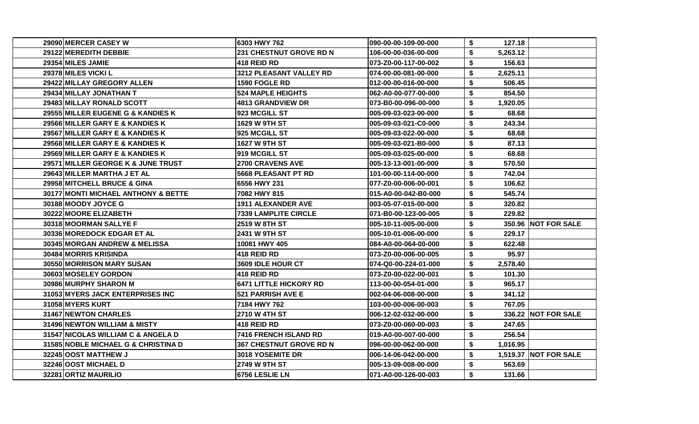| 29090 MERCER CASEY W                | 6303 HWY 762                   | 090-00-00-109-00-000 | \$<br>127.18   |                       |
|-------------------------------------|--------------------------------|----------------------|----------------|-----------------------|
| 29122 MEREDITH DEBBIE               | <b>231 CHESTNUT GROVE RD N</b> | 106-00-00-036-00-000 | \$<br>5,263.12 |                       |
| 29354 MILES JAMIE                   | 418 REID RD                    | 073-Z0-00-117-00-002 | \$<br>156.63   |                       |
| 29378 MILES VICKI L                 | 3212 PLEASANT VALLEY RD        | 074-00-00-081-00-000 | \$<br>2,625.11 |                       |
| 29422 MILLAY GREGORY ALLEN          | 1590 FOGLE RD                  | 012-00-00-016-00-000 | \$<br>506.45   |                       |
| 29434 MILLAY JONATHAN T             | <b>524 MAPLE HEIGHTS</b>       | 062-A0-00-077-00-000 | \$<br>854.50   |                       |
| 29483 MILLAY RONALD SCOTT           | <b>4813 GRANDVIEW DR</b>       | 073-B0-00-096-00-000 | \$<br>1,920.05 |                       |
| 29555 MILLER EUGENE G & KANDIES K   | 923 MCGILL ST                  | 005-09-03-023-00-000 | \$<br>68.68    |                       |
| 29566 MILLER GARY E & KANDIES K     | 1629 W 9TH ST                  | 005-09-03-021-C0-000 | \$<br>243.34   |                       |
| 29567 MILLER GARY E & KANDIES K     | 925 MCGILL ST                  | 005-09-03-022-00-000 | \$<br>68.68    |                       |
| 29568 MILLER GARY E & KANDIES K     | <b>1627 W 9TH ST</b>           | 005-09-03-021-B0-000 | \$<br>87.13    |                       |
| 29569 MILLER GARY E & KANDIES K     | 919 MCGILL ST                  | 005-09-03-025-00-000 | \$<br>68.68    |                       |
| 29571 MILLER GEORGE K & JUNE TRUST  | 2700 CRAVENS AVE               | 005-13-13-001-00-000 | \$<br>570.50   |                       |
| 29643 MILLER MARTHA J ET AL         | <b>5668 PLEASANT PT RD</b>     | 101-00-00-114-00-000 | \$<br>742.04   |                       |
| 29958 MITCHELL BRUCE & GINA         | 6556 HWY 231                   | 077-Z0-00-006-00-001 | \$<br>106.62   |                       |
| 30177 MONTI MICHAEL ANTHONY & BETTE | 7082 HWY 815                   | 015-A0-00-042-B0-000 | \$<br>545.74   |                       |
| 30188 MOODY JOYCE G                 | <b>1911 ALEXANDER AVE</b>      | 003-05-07-015-00-000 | \$<br>320.82   |                       |
| 30222 MOORE ELIZABETH               | <b>7339 LAMPLITE CIRCLE</b>    | 071-B0-00-123-00-005 | \$<br>229.82   |                       |
| <b>30318IMOORMAN SALLYE F</b>       | <b>2519 W 8TH ST</b>           | 005-10-11-005-00-000 | \$             | 350.96 NOT FOR SALE   |
| 30336 MOREDOCK EDGAR ET AL          | 2431 W 9TH ST                  | 005-10-01-006-00-000 | \$<br>229.17   |                       |
| 30345 MORGAN ANDREW & MELISSA       | 10081 HWY 405                  | 084-A0-00-064-00-000 | \$<br>622.48   |                       |
| 30484 MORRIS KRISINDA               | 418 REID RD                    | 073-Z0-00-006-00-005 | \$<br>95.97    |                       |
| 30550 MORRISON MARY SUSAN           | 3609 IDLE HOUR CT              | 074-Q0-00-224-01-000 | \$<br>2,578.40 |                       |
| 30603 MOSELEY GORDON                | <b>418 REID RD</b>             | 073-Z0-00-022-00-001 | \$<br>101.30   |                       |
| 30986 MURPHY SHARON M               | <b>6471 LITTLE HICKORY RD</b>  | 113-00-00-054-01-000 | \$<br>965.17   |                       |
| 31053 MYERS JACK ENTERPRISES INC    | 521 PARRISH AVE E              | 002-04-06-008-00-000 | \$<br>341.12   |                       |
| 31058 MYERS KURT                    | 7184 HWY 762                   | 103-00-00-006-00-003 | \$<br>767.05   |                       |
| 31467 NEWTON CHARLES                | 2710 W 4TH ST                  | 006-12-02-032-00-000 | \$             | 336.22 NOT FOR SALE   |
| 31496 NEWTON WILLIAM & MISTY        | <b>418 REID RD</b>             | 073-Z0-00-060-00-003 | \$<br>247.65   |                       |
| 31547 NICOLAS WILLIAM C & ANGELA D  | 7416 FRENCH ISLAND RD          | 019-A0-00-007-00-000 | \$<br>256.54   |                       |
| 31585 NOBLE MICHAEL G & CHRISTINA D | <b>367 CHESTNUT GROVE RD N</b> | 096-00-00-062-00-000 | \$<br>1,016.95 |                       |
| 32245100ST MATTHEW J                | 3018 YOSEMITE DR               | 006-14-06-042-00-000 | \$             | 1,519.37 NOT FOR SALE |
| 32246 OOST MICHAEL D                | 2749 W 9TH ST                  | 005-13-09-008-00-000 | \$<br>563.69   |                       |
| 32281 ORTIZ MAURILIO                | 6756 LESLIE LN                 | 071-A0-00-126-00-003 | \$<br>131.66   |                       |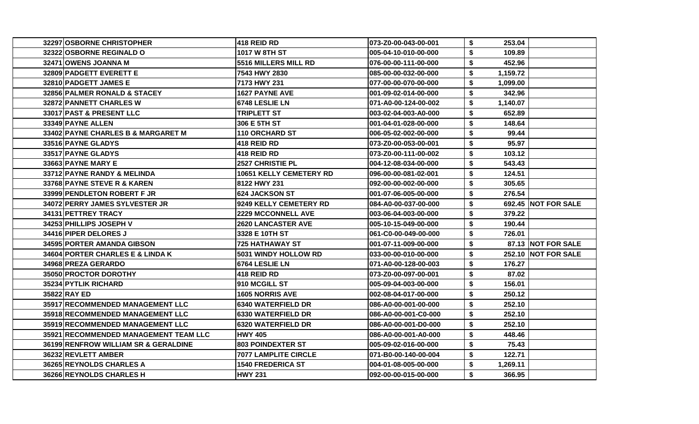| 32297 OSBORNE CHRISTOPHER             | <b>418 REID RD</b>             | l073-Z0-00-043-00-001 | \$<br>253.04   |                              |
|---------------------------------------|--------------------------------|-----------------------|----------------|------------------------------|
| 32322 OSBORNE REGINALD O              | 1017 W 8TH ST                  | 005-04-10-010-00-000  | \$<br>109.89   |                              |
| 32471 OWENS JOANNA M                  | 5516 MILLERS MILL RD           | 076-00-00-111-00-000  | \$<br>452.96   |                              |
| 32809 PADGETT EVERETT E               | 7543 HWY 2830                  | 085-00-00-032-00-000  | \$<br>1,159.72 |                              |
| 32810 PADGETT JAMES E                 | 7173 HWY 231                   | 077-00-00-070-00-000  | \$<br>1,099.00 |                              |
| 32856 PALMER RONALD & STACEY          | <b>1627 PAYNE AVE</b>          | 001-09-02-014-00-000  | \$<br>342.96   |                              |
| 32872 PANNETT CHARLES W               | 6748 LESLIE LN                 | 071-A0-00-124-00-002  | \$<br>1,140.07 |                              |
| 33017 PAST & PRESENT LLC              | <b>TRIPLETT ST</b>             | 003-02-04-003-A0-000  | \$<br>652.89   |                              |
| 33349 PAYNE ALLEN                     | 306 E 5TH ST                   | 001-04-01-028-00-000  | \$<br>148.64   |                              |
| 33402 PAYNE CHARLES B & MARGARET M    | <b>110 ORCHARD ST</b>          | 006-05-02-002-00-000  | \$<br>99.44    |                              |
| <b>33516 PAYNE GLADYS</b>             | 418 REID RD                    | 073-Z0-00-053-00-001  | 95.97<br>\$    |                              |
| <b>33517IPAYNE GLADYS</b>             | 418 REID RD                    | 073-Z0-00-111-00-002  | \$<br>103.12   |                              |
| 33663 PAYNE MARY E                    | <b>2527 CHRISTIE PL</b>        | 004-12-08-034-00-000  | \$<br>543.43   |                              |
| 33712 PAYNE RANDY & MELINDA           | <b>10651 KELLY CEMETERY RD</b> | 096-00-00-081-02-001  | \$<br>124.51   |                              |
| 33768 PAYNE STEVE R & KAREN           | 8122 HWY 231                   | 092-00-00-002-00-000  | \$<br>305.65   |                              |
| 33999 PENDLETON ROBERT F JR           | 624 JACKSON ST                 | 001-07-06-005-00-000  | \$<br>276.54   |                              |
| 34072 PERRY JAMES SYLVESTER JR        | 9249 KELLY CEMETERY RD         | 084-A0-00-037-00-000  | \$             | <b>692.45   NOT FOR SALE</b> |
| 34131 PETTREY TRACY                   | <b>2229 MCCONNELL AVE</b>      | 003-06-04-003-00-000  | \$<br>379.22   |                              |
| 34253 PHILLIPS JOSEPH V               | <b>2620 LANCASTER AVE</b>      | 005-10-15-049-00-000  | \$<br>190.44   |                              |
| 34416 PIPER DELORES J                 | 3328 E 10TH ST                 | 061-C0-00-049-00-000  | \$<br>726.01   |                              |
| 34595 PORTER AMANDA GIBSON            | 725 HATHAWAY ST                | 001-07-11-009-00-000  | S.             | 87.13 NOT FOR SALE           |
| 34604 PORTER CHARLES E & LINDA K      | 5031 WINDY HOLLOW RD           | 033-00-00-010-00-000  | \$             | 252.10 NOT FOR SALE          |
| 34968 PREZA GERARDO                   | 6764 LESLIE LN                 | 071-A0-00-128-00-003  | \$<br>176.27   |                              |
| 35050 PROCTOR DOROTHY                 | <b>418 REID RD</b>             | l073-Z0-00-097-00-001 | \$<br>87.02    |                              |
| 35234 PYTLIK RICHARD                  | 910 MCGILL ST                  | 005-09-04-003-00-000  | \$<br>156.01   |                              |
| <b>35822 RAY ED</b>                   | <b>1605 NORRIS AVE</b>         | 002-08-04-017-00-000  | \$<br>250.12   |                              |
| 35917 RECOMMENDED MANAGEMENT LLC      | 6340 WATERFIELD DR             | 086-A0-00-001-00-000  | \$<br>252.10   |                              |
| 35918 RECOMMENDED MANAGEMENT LLC      | <b>6330 WATERFIELD DR</b>      | 086-A0-00-001-C0-000  | \$<br>252.10   |                              |
| 35919 RECOMMENDED MANAGEMENT LLC      | <b>6320 WATERFIELD DR</b>      | 086-A0-00-001-D0-000  | \$<br>252.10   |                              |
| 35921 RECOMMENDED MANAGEMENT TEAM LLC | <b>HWY 405</b>                 | 086-A0-00-001-A0-000  | \$<br>448.46   |                              |
| 36199 RENFROW WILLIAM SR & GERALDINE  | <b>803 POINDEXTER ST</b>       | 005-09-02-016-00-000  | \$<br>75.43    |                              |
| 36232 REVLETT AMBER                   | 7077 LAMPLITE CIRCLE           | 071-B0-00-140-00-004  | \$<br>122.71   |                              |
| 36265 REYNOLDS CHARLES A              | <b>1540 FREDERICA ST</b>       | 004-01-08-005-00-000  | \$<br>1,269.11 |                              |
| 36266 REYNOLDS CHARLES H              | <b>HWY 231</b>                 | 092-00-00-015-00-000  | \$<br>366.95   |                              |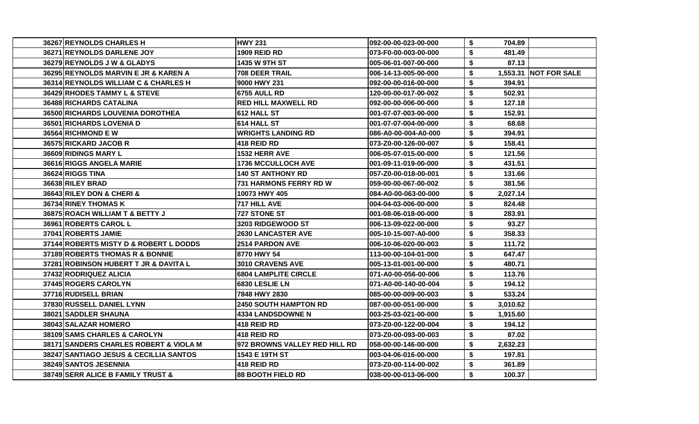| 36267 REYNOLDS CHARLES H               | <b>HWY 231</b>                | 1092-00-00-023-00-000 | \$<br>704.89   |                       |
|----------------------------------------|-------------------------------|-----------------------|----------------|-----------------------|
| 36271 REYNOLDS DARLENE JOY             | <b>1909 REID RD</b>           | l073-F0-00-003-00-000 | \$<br>481.49   |                       |
| 36279 REYNOLDS J W & GLADYS            | 1435 W 9TH ST                 | 005-06-01-007-00-000  | \$<br>87.13    |                       |
| 36295 REYNOLDS MARVIN E JR & KAREN A   | 708 DEER TRAIL                | 1006-14-13-005-00-000 | \$             | 1,553.31 NOT FOR SALE |
| 36314 REYNOLDS WILLIAM C & CHARLES H   | 9000 HWY 231                  | 092-00-00-016-00-000  | \$<br>394.91   |                       |
| 36429 RHODES TAMMY L & STEVE           | 6755 AULL RD                  | 120-00-00-017-00-002  | \$<br>502.91   |                       |
| 36488 RICHARDS CATALINA                | <b>RED HILL MAXWELL RD</b>    | 092-00-00-006-00-000  | \$<br>127.18   |                       |
| 36500 RICHARDS LOUVENIA DOROTHEA       | 612 HALL ST                   | 1001-07-07-003-00-000 | \$<br>152.91   |                       |
| 36501 RICHARDS LOVENIA D               | 614 HALL ST                   | 001-07-07-004-00-000  | \$<br>68.68    |                       |
| 36564 RICHMOND E W                     | <b>WRIGHTS LANDING RD</b>     | 086-A0-00-004-A0-000  | \$<br>394.91   |                       |
| 36575 RICKARD JACOB R                  | <b>418 REID RD</b>            | l073-Z0-00-126-00-007 | \$<br>158.41   |                       |
| 36609 RIDINGS MARY L                   | 1532 HERR AVE                 | 006-05-07-015-00-000  | \$<br>121.56   |                       |
| 36616 RIGGS ANGELA MARIE               | <b>1736 MCCULLOCH AVE</b>     | 001-09-11-019-00-000  | \$<br>431.51   |                       |
| 36624 RIGGS TINA                       | <b>140 ST ANTHONY RD</b>      | 057-Z0-00-018-00-001  | \$<br>131.66   |                       |
| 36638 RILEY BRAD                       | <b>731 HARMONS FERRY RD W</b> | 059-00-00-067-00-002  | \$<br>381.56   |                       |
| 36643 RILEY DON & CHERI &              | 10073 HWY 405                 | 084-A0-00-063-00-000  | \$<br>2,027.14 |                       |
| 36734 RINEY THOMAS K                   | 717 HILL AVE                  | 004-04-03-006-00-000  | \$<br>824.48   |                       |
| 36875 ROACH WILLIAM T & BETTY J        | 727 STONE ST                  | 001-08-06-018-00-000  | \$<br>283.91   |                       |
| 36961 ROBERTS CAROL L                  | <b>3203 RIDGEWOOD ST</b>      | 006-13-09-022-00-000  | \$<br>93.27    |                       |
| 37041 ROBERTS JAMIE                    | <b>2630 LANCASTER AVE</b>     | 005-10-15-007-A0-000  | \$<br>358.33   |                       |
| 37144 ROBERTS MISTY D & ROBERT L DODDS | <b>2514 PARDON AVE</b>        | 006-10-06-020-00-003  | \$<br>111.72   |                       |
| 37189 ROBERTS THOMAS R & BONNIE        | 8770 HWY 54                   | 113-00-00-104-01-000  | \$<br>647.47   |                       |
| 37281 ROBINSON HUBERT T JR & DAVITA L  | 3010 CRAVENS AVE              | 005-13-01-001-00-000  | \$<br>480.71   |                       |
| 37432 RODRIQUEZ ALICIA                 | <b>6804 LAMPLITE CIRCLE</b>   | l071-A0-00-056-00-006 | \$<br>113.76   |                       |
| 37445 ROGERS CAROLYN                   | 6830 LESLIE LN                | 071-A0-00-140-00-004  | \$<br>194.12   |                       |
| 37716 RUDISELL BRIAN                   | 7848 HWY 2830                 | 085-00-00-009-00-003  | \$<br>533.24   |                       |
| 37830 RUSSELL DANIEL LYNN              | <b>2450 SOUTH HAMPTON RD</b>  | 1087-00-00-051-00-000 | \$<br>3,010.62 |                       |
| 38021 SADDLER SHAUNA                   | 4334 LANDSDOWNE N             | 003-25-03-021-00-000  | \$<br>1,915.60 |                       |
| 38043 SALAZAR HOMERO                   | 418 REID RD                   | 073-Z0-00-122-00-004  | \$<br>194.12   |                       |
| 38109 SAMS CHARLES & CAROLYN           | 418 REID RD                   | l073-Z0-00-093-00-003 | \$<br>87.02    |                       |
| 38171 SANDERS CHARLES ROBERT & VIOLA M | 972 BROWNS VALLEY RED HILL RD | 1058-00-00-146-00-000 | \$<br>2,632.23 |                       |
| 38247 SANTIAGO JESUS & CECILLIA SANTOS | 1543 E 19TH ST                | 1003-04-06-016-00-000 | \$<br>197.81   |                       |
| 38249 SANTOS JESENNIA                  | 418 REID RD                   | 073-Z0-00-114-00-002  | \$<br>361.89   |                       |
| 38749 SERR ALICE B FAMILY TRUST &      | <b>88 BOOTH FIELD RD</b>      | 1038-00-00-013-06-000 | \$<br>100.37   |                       |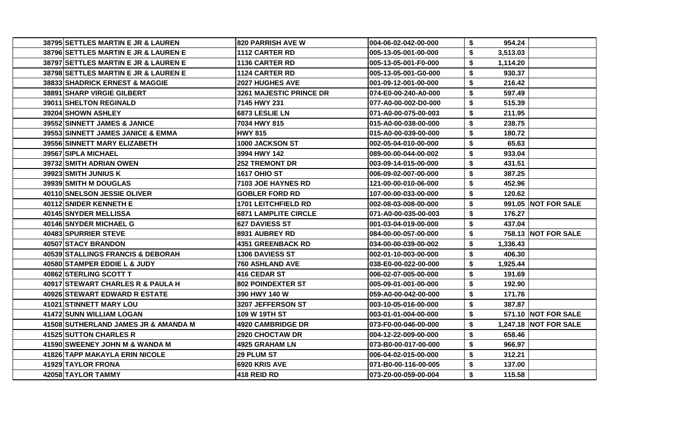| 38795 SETTLES MARTIN E JR & LAUREN        | <b>820 PARRISH AVE W</b>       | 004-06-02-042-00-000 | \$ | 954.24   |                              |
|-------------------------------------------|--------------------------------|----------------------|----|----------|------------------------------|
| 38796 SETTLES MARTIN E JR & LAUREN E      | <b>1112 CARTER RD</b>          | 005-13-05-001-00-000 | \$ | 3,513.03 |                              |
| 38797 SETTLES MARTIN E JR & LAUREN E      | 1136 CARTER RD                 | 005-13-05-001-F0-000 | S. | 1,114.20 |                              |
| 38798 SETTLES MARTIN E JR & LAUREN E      | <b>1124 CARTER RD</b>          | 005-13-05-001-G0-000 | \$ | 930.37   |                              |
| <b>38833ISHADRICK ERNEST &amp; MAGGIE</b> | <b>2027 HUGHES AVE</b>         | 001-09-12-001-00-000 | \$ | 216.42   |                              |
| <b>38891 SHARP VIRGIE GILBERT</b>         | <b>3261 MAJESTIC PRINCE DR</b> | 074-E0-00-240-A0-000 | \$ | 597.49   |                              |
| 39011 SHELTON REGINALD                    | 7145 HWY 231                   | 077-A0-00-002-D0-000 | \$ | 515.39   |                              |
| 39204 SHOWN ASHLEY                        | 6873 LESLIE LN                 | 071-A0-00-075-00-003 | \$ | 211.95   |                              |
| 39552 SINNETT JAMES & JANICE              | 7034 HWY 815                   | 015-A0-00-038-00-000 | \$ | 238.75   |                              |
| 39553 SINNETT JAMES JANICE & EMMA         | <b>HWY 815</b>                 | 015-A0-00-039-00-000 | \$ | 180.72   |                              |
| 39556 SINNETT MARY ELIZABETH              | <b>1000 JACKSON ST</b>         | 002-05-04-010-00-000 | \$ | 65.63    |                              |
| 39567 SIPLA MICHAEL                       | 3994 HWY 142                   | 089-00-00-044-00-002 | \$ | 933.04   |                              |
| 39732 SMITH ADRIAN OWEN                   | <b>252 TREMONT DR</b>          | 003-09-14-015-00-000 | S  | 431.51   |                              |
| 39923 SMITH JUNIUS K                      | <b>1617 OHIO ST</b>            | 006-09-02-007-00-000 | \$ | 387.25   |                              |
| 39939 SMITH M DOUGLAS                     | <b>7103 JOE HAYNES RD</b>      | 121-00-00-010-06-000 | \$ | 452.96   |                              |
| 40110 SNELSON JESSIE OLIVER               | <b>GOBLER FORD RD</b>          | 107-00-00-033-00-000 | \$ | 120.62   |                              |
| 40112 SNIDER KENNETH E                    | <b>1701 LEITCHFIELD RD</b>     | 002-08-03-008-00-000 | \$ |          | 991.05 NOT FOR SALE          |
| 40145 SNYDER MELLISSA                     | <b>6871 LAMPLITE CIRCLE</b>    | 071-A0-00-035-00-003 | \$ | 176.27   |                              |
| 40146 SNYDER MICHAEL G                    | <b>627 DAVIESS ST</b>          | 001-03-04-019-00-000 | \$ | 437.04   |                              |
| 40483 SPURRIER STEVE                      | <b>8931 AUBREY RD</b>          | 084-00-00-057-00-000 | \$ |          | 758.13 NOT FOR SALE          |
| 40507 STACY BRANDON                       | <b>4351 GREENBACK RD</b>       | 034-00-00-039-00-002 | \$ | 1,336.43 |                              |
| 40539 STALLINGS FRANCIS & DEBORAH         | <b>1306 DAVIESS ST</b>         | 002-01-10-003-00-000 | \$ | 406.30   |                              |
| 40580 STAMPER EDDIE L & JUDY              | 760 ASHLAND AVE                | 038-E0-00-022-00-000 | S. | 1,925.44 |                              |
| 40862 STERLING SCOTT T                    | 416 CEDAR ST                   | 006-02-07-005-00-000 | \$ | 191.69   |                              |
| 40917 STEWART CHARLES R & PAULA H         | <b>802 POINDEXTER ST</b>       | 005-09-01-001-00-000 | \$ | 192.90   |                              |
| 40926 STEWART EDWARD R ESTATE             | 390 HWY 140 W                  | 059-A0-00-042-00-000 | \$ | 171.76   |                              |
| 41021 STINNETT MARY LOU                   | 3207 JEFFERSON ST              | 003-10-05-016-00-000 | \$ | 387.87   |                              |
| 41472 SUNN WILLIAM LOGAN                  | 109 W 19TH ST                  | 003-01-01-004-00-000 | \$ |          | 571.10 NOT FOR SALE          |
| 41508 SUTHERLAND JAMES JR & AMANDA M      | <b>4920 CAMBRIDGE DR</b>       | 073-F0-00-046-00-000 | \$ |          | <b>1,247.18 NOT FOR SALE</b> |
| <b>41525 SUTTON CHARLES R</b>             | 2920 CHOCTAW DR                | 004-12-22-009-00-000 | \$ | 658.46   |                              |
| 41590 SWEENEY JOHN M & WANDA M            | <b>4925 GRAHAM LN</b>          | 073-B0-00-017-00-000 | \$ | 966.97   |                              |
| 41826 TAPP MAKAYLA ERIN NICOLE            | <b>29 PLUM ST</b>              | 006-04-02-015-00-000 | \$ | 312.21   |                              |
| 41929 TAYLOR FRONA                        | 6920 KRIS AVE                  | 071-B0-00-116-00-005 | S. | 137.00   |                              |
| 42058 TAYLOR TAMMY                        | 418 REID RD                    | 073-Z0-00-059-00-004 | \$ | 115.58   |                              |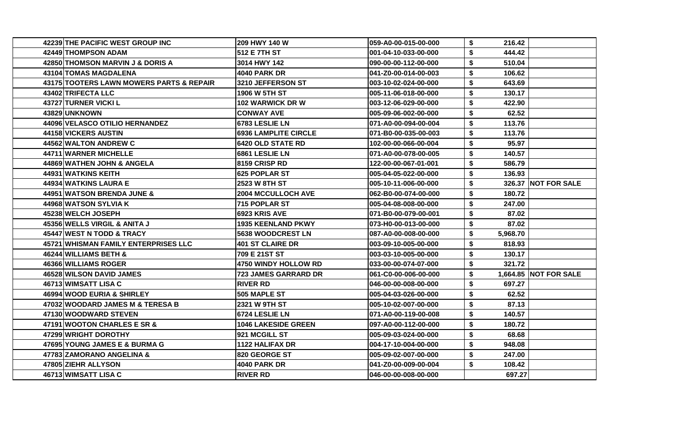| 42239 THE PACIFIC WEST GROUP INC         | 209 HWY 140 W               | 059-A0-00-015-00-000  | \$<br>216.42   |                       |
|------------------------------------------|-----------------------------|-----------------------|----------------|-----------------------|
| 42449 THOMPSON ADAM                      | 512 E 7TH ST                | 001-04-10-033-00-000  | \$<br>444.42   |                       |
| 42850 THOMSON MARVIN J & DORIS A         | 3014 HWY 142                | 090-00-00-112-00-000  | \$<br>510.04   |                       |
| 43104 TOMAS MAGDALENA                    | 4040 PARK DR                | 041-Z0-00-014-00-003  | \$<br>106.62   |                       |
| 43175 TOOTERS LAWN MOWERS PARTS & REPAIR | 3210 JEFFERSON ST           | 003-10-02-024-00-000  | \$<br>643.69   |                       |
| 43402 TRIFECTA LLC                       | 1906 W 5TH ST               | 005-11-06-018-00-000  | \$<br>130.17   |                       |
| <b>43727 TURNER VICKI L</b>              | 102 WARWICK DR W            | 003-12-06-029-00-000  | \$<br>422.90   |                       |
| 43829 UNKNOWN                            | <b>CONWAY AVE</b>           | 005-09-06-002-00-000  | \$<br>62.52    |                       |
| 44096 VELASCO OTILIO HERNANDEZ           | 6783 LESLIE LN              | 071-A0-00-094-00-004  | \$<br>113.76   |                       |
| 44158 VICKERS AUSTIN                     | <b>6936 LAMPLITE CIRCLE</b> | 071-B0-00-035-00-003  | \$<br>113.76   |                       |
| 44562 WALTON ANDREW C                    | <b>6420 OLD STATE RD</b>    | 102-00-00-066-00-004  | \$<br>95.97    |                       |
| <b>44711 WARNER MICHELLE</b>             | <b>I6861 LESLIE LN</b>      | 071-A0-00-078-00-005  | \$<br>140.57   |                       |
| 44869 WATHEN JOHN & ANGELA               | 8159 CRISP RD               | 122-00-00-067-01-001  | \$<br>586.79   |                       |
| 44931 WATKINS KEITH                      | 1625 POPLAR ST              | 005-04-05-022-00-000  | \$<br>136.93   |                       |
| 44934 WATKINS LAURA E                    | <b>2523 W 8TH ST</b>        | 005-10-11-006-00-000  | \$             | 326.37 NOT FOR SALE   |
| 44951 WATSON BRENDA JUNE &               | <b>2004 MCCULLOCH AVE</b>   | 062-B0-00-074-00-000  | \$<br>180.72   |                       |
| 44968 WATSON SYLVIA K                    | 715 POPLAR ST               | 005-04-08-008-00-000  | \$<br>247.00   |                       |
| 45238 WELCH JOSEPH                       | <b>6923 KRIS AVE</b>        | 071-B0-00-079-00-001  | \$<br>87.02    |                       |
| 45356 WELLS VIRGIL & ANITA J             | 1935 KEENLAND PKWY          | 073-H0-00-013-00-000  | \$<br>87.02    |                       |
| 45447 WEST N TODD & TRACY                | <b>5638 WOODCREST LN</b>    | 087-A0-00-008-00-000  | \$<br>5,968.70 |                       |
| 45721 WHISMAN FAMILY ENTERPRISES LLC     | 401 ST CLAIRE DR            | 003-09-10-005-00-000  | \$<br>818.93   |                       |
| <b>46244 WILLIAMS BETH &amp;</b>         | 1709 E 21ST ST              | 003-03-10-005-00-000  | \$<br>130.17   |                       |
| 46366 WILLIAMS ROGER                     | 4750 WINDY HOLLOW RD        | 033-00-00-074-07-000  | \$<br>321.72   |                       |
| <b>46528 WILSON DAVID JAMES</b>          | 723 JAMES GARRARD DR        | 061-C0-00-006-00-000  | \$             | 1,664.85 NOT FOR SALE |
| <b>46713 WIMSATT LISA C</b>              | <b>RIVER RD</b>             | 046-00-00-008-00-000  | \$<br>697.27   |                       |
| <b>46994 WOOD EURIA &amp; SHIRLEY</b>    | 505 MAPLE ST                | 005-04-03-026-00-000  | \$<br>62.52    |                       |
| 47032 WOODARD JAMES M & TERESA B         | 12321 W 9TH ST              | l005-10-02-007-00-000 | \$<br>87.13    |                       |
| 47130 WOODWARD STEVEN                    | 6724 LESLIE LN              | 071-A0-00-119-00-008  | \$<br>140.57   |                       |
| 47191 WOOTON CHARLES E SR &              | 1046 LAKESIDE GREEN         | 097-A0-00-112-00-000  | \$<br>180.72   |                       |
| 47299 WRIGHT DOROTHY                     | 921 MCGILL ST               | 005-09-03-024-00-000  | \$<br>68.68    |                       |
| 47695 YOUNG JAMES E & BURMA G            | 1122 HALIFAX DR             | 004-17-10-004-00-000  | \$<br>948.08   |                       |
| 47783 ZAMORANO ANGELINA &                | 820 GEORGE ST               | 005-09-02-007-00-000  | \$<br>247.00   |                       |
| 47805 ZIEHR ALLYSON                      | 4040 PARK DR                | 041-Z0-00-009-00-004  | \$<br>108.42   |                       |
| 46713 WIMSATT LISA C                     | <b>RIVER RD</b>             | 046-00-00-008-00-000  | 697.27         |                       |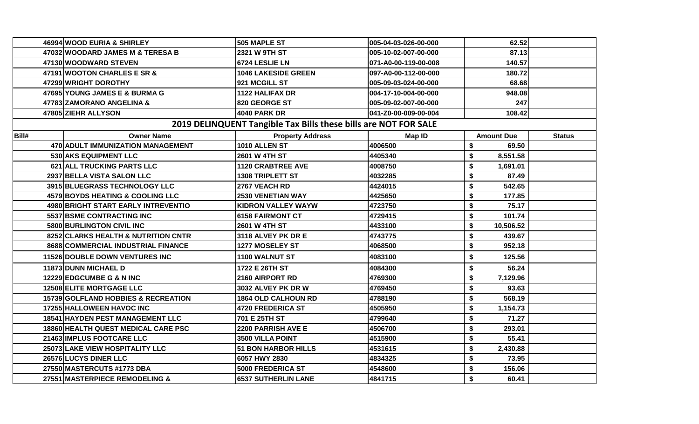|                                                                 | 46994 WOOD EURIA & SHIRLEY          | 505 MAPLE ST               | 005-04-03-026-00-000 | 62.52             |               |  |  |  |
|-----------------------------------------------------------------|-------------------------------------|----------------------------|----------------------|-------------------|---------------|--|--|--|
|                                                                 | 47032 WOODARD JAMES M & TERESA B    | 2321 W 9TH ST              | 005-10-02-007-00-000 | 87.13             |               |  |  |  |
|                                                                 | 47130 WOODWARD STEVEN               | 6724 LESLIE LN             | 071-A0-00-119-00-008 | 140.57            |               |  |  |  |
|                                                                 | 47191 WOOTON CHARLES E SR &         | <b>1046 LAKESIDE GREEN</b> | 097-A0-00-112-00-000 | 180.72            |               |  |  |  |
|                                                                 | 47299 WRIGHT DOROTHY                | 921 MCGILL ST              | 005-09-03-024-00-000 | 68.68             |               |  |  |  |
|                                                                 | 47695 YOUNG JAMES E & BURMA G       | <b>1122 HALIFAX DR</b>     | 004-17-10-004-00-000 | 948.08            |               |  |  |  |
|                                                                 | 47783 ZAMORANO ANGELINA &           | 820 GEORGE ST              | 005-09-02-007-00-000 | 247               |               |  |  |  |
|                                                                 | 47805 ZIEHR ALLYSON                 | <b>4040 PARK DR</b>        | 041-Z0-00-009-00-004 | 108.42            |               |  |  |  |
| 2019 DELINQUENT Tangible Tax Bills these bills are NOT FOR SALE |                                     |                            |                      |                   |               |  |  |  |
| Bill#                                                           | <b>Owner Name</b>                   | <b>Property Address</b>    | Map ID               | <b>Amount Due</b> | <b>Status</b> |  |  |  |
|                                                                 | 470 ADULT IMMUNIZATION MANAGEMENT   | 1010 ALLEN ST              | 4006500              | 69.50<br>\$       |               |  |  |  |
|                                                                 | 530 AKS EQUIPMENT LLC               | 2601 W 4TH ST              | 4405340              | \$<br>8,551.58    |               |  |  |  |
|                                                                 | 621 ALL TRUCKING PARTS LLC          | <b>1120 CRABTREE AVE</b>   | 4008750              | \$<br>1,691.01    |               |  |  |  |
|                                                                 | 2937 BELLA VISTA SALON LLC          | <b>1308 TRIPLETT ST</b>    | 4032285              | \$<br>87.49       |               |  |  |  |
|                                                                 | 3915 BLUEGRASS TECHNOLOGY LLC       | 2767 VEACH RD              | 4424015              | \$<br>542.65      |               |  |  |  |
|                                                                 | 4579 BOYDS HEATING & COOLING LLC    | <b>2530 VENETIAN WAY</b>   | 4425650              | \$<br>177.85      |               |  |  |  |
|                                                                 | 4980 BRIGHT START EARLY INTREVENTIO | <b>KIDRON VALLEY WAYW</b>  | 4723750              | \$<br>75.17       |               |  |  |  |
|                                                                 | 5537 BSME CONTRACTING INC           | <b>6158 FAIRMONT CT</b>    | 4729415              | \$<br>101.74      |               |  |  |  |
|                                                                 | 5800 BURLINGTON CIVIL INC           | 2601 W 4TH ST              | 4433100              | \$<br>10,506.52   |               |  |  |  |
|                                                                 | 8252 CLARKS HEALTH & NUTRITION CNTR | 3118 ALVEY PK DR E         | 4743775              | \$<br>439.67      |               |  |  |  |
|                                                                 | 8688 COMMERCIAL INDUSTRIAL FINANCE  | <b>1277 MOSELEY ST</b>     | 4068500              | \$<br>952.18      |               |  |  |  |
|                                                                 | 11526 DOUBLE DOWN VENTURES INC      | <b>1100 WALNUT ST</b>      | 4083100              | \$<br>125.56      |               |  |  |  |
|                                                                 | 11873 DUNN MICHAEL D                | 1722 E 26TH ST             | 4084300              | \$<br>56.24       |               |  |  |  |
|                                                                 | 12229 EDGCUMBE G & N INC            | 2160 AIRPORT RD            | 4769300              | \$<br>7,129.96    |               |  |  |  |
|                                                                 | 12508 ELITE MORTGAGE LLC            | 3032 ALVEY PK DR W         | 4769450              | \$<br>93.63       |               |  |  |  |
|                                                                 | 15739 GOLFLAND HOBBIES & RECREATION | 1864 OLD CALHOUN RD        | 4788190              | \$<br>568.19      |               |  |  |  |
|                                                                 | 17255 HALLOWEEN HAVOC INC           | 4720 FREDERICA ST          | 4505950              | \$<br>1,154.73    |               |  |  |  |
|                                                                 | 18541 HAYDEN PEST MANAGEMENT LLC    | 701 E 25TH ST              | 4799640              | \$<br>71.27       |               |  |  |  |
|                                                                 | 18860 HEALTH QUEST MEDICAL CARE PSC | 2200 PARRISH AVE E         | 4506700              | \$<br>293.01      |               |  |  |  |
|                                                                 | 21463 IMPLUS FOOTCARE LLC           | 3500 VILLA POINT           | 4515900              | \$<br>55.41       |               |  |  |  |
|                                                                 | 25073 LAKE VIEW HOSPITALITY LLC     | <b>51 BON HARBOR HILLS</b> | 4531615              | \$<br>2,430.88    |               |  |  |  |
|                                                                 | 26576 LUCYS DINER LLC               | 6057 HWY 2830              | 4834325              | \$<br>73.95       |               |  |  |  |
|                                                                 | 27550 MASTERCUTS #1773 DBA          | 5000 FREDERICA ST          | 4548600              | \$<br>156.06      |               |  |  |  |
|                                                                 | 27551 MASTERPIECE REMODELING &      | <b>6537 SUTHERLIN LANE</b> | 4841715              | \$<br>60.41       |               |  |  |  |